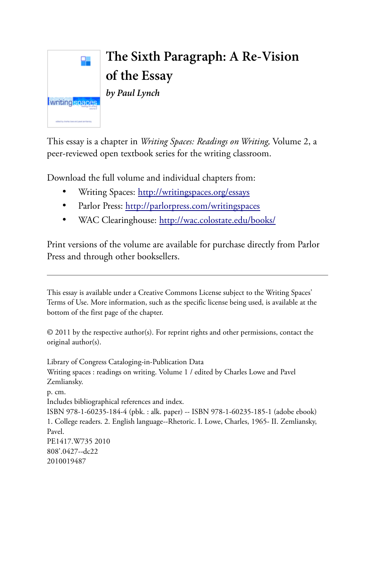

This essay is a chapter in *Writing Spaces: Readings on Writing,* Volume 2, a peer-reviewed open textbook series for the writing classroom.

Download the full volume and individual chapters from:

- Writing Spaces:<http://writingspaces.org/essays>
- Parlor Press:<http://parlorpress.com/writingspaces>
- WAC Clearinghouse:<http://wac.colostate.edu/books/>

Print versions of the volume are available for purchase directly from Parlor Press and through other booksellers.

This essay is available under a Creative Commons License subject to the Writing Spaces' Terms of Use. More information, such as the specific license being used, is available at the bottom of the first page of the chapter.

© 2011 by the respective author(s). For reprint rights and other permissions, contact the original author(s).

Library of Congress Cataloging-in-Publication Data Writing spaces : readings on writing. Volume 1 / edited by Charles Lowe and Pavel Zemliansky. p. cm. Includes bibliographical references and index. ISBN 978-1-60235-184-4 (pbk. : alk. paper) -- ISBN 978-1-60235-185-1 (adobe ebook) 1. College readers. 2. English language--Rhetoric. I. Lowe, Charles, 1965- II. Zemliansky, Pavel. PE1417.W735 2010 808'.0427--dc22 2010019487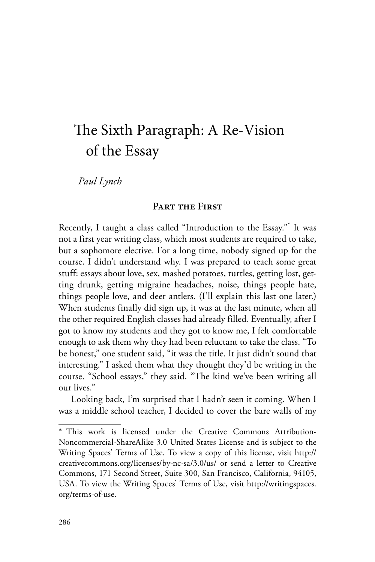# The Sixth Paragraph: A Re-Vision of the Essay

*Paul Lynch*

### **Part the First**

Recently, I taught a class called "Introduction to the Essay."\* It was not a first year writing class, which most students are required to take, but a sophomore elective. For a long time, nobody signed up for the course. I didn't understand why. I was prepared to teach some great stuff: essays about love, sex, mashed potatoes, turtles, getting lost, getting drunk, getting migraine headaches, noise, things people hate, things people love, and deer antlers. (I'll explain this last one later.) When students finally did sign up, it was at the last minute, when all the other required English classes had already filled. Eventually, after I got to know my students and they got to know me, I felt comfortable enough to ask them why they had been reluctant to take the class. "To be honest," one student said, "it was the title. It just didn't sound that interesting." I asked them what they thought they'd be writing in the course. "School essays," they said. "The kind we've been writing all our lives."

Looking back, I'm surprised that I hadn't seen it coming. When I was a middle school teacher, I decided to cover the bare walls of my

<sup>\*</sup> This work is licensed under the Creative Commons Attribution-Noncommercial-ShareAlike 3.0 United States License and is subject to the Writing Spaces' Terms of Use. To view a copy of this license, visit http:// creativecommons.org/licenses/by-nc-sa/3.0/us/ or send a letter to Creative Commons, 171 Second Street, Suite 300, San Francisco, California, 94105, USA. To view the Writing Spaces' Terms of Use, visit http://writingspaces. org/terms-of-use.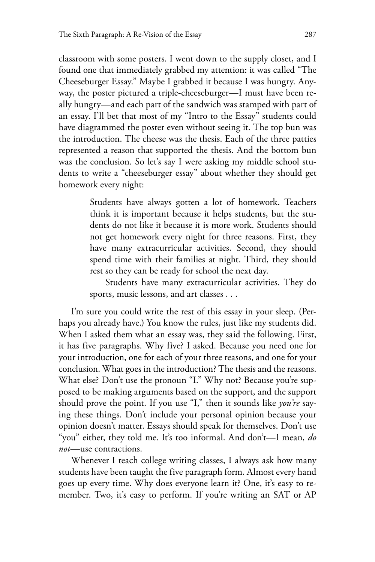classroom with some posters. I went down to the supply closet, and I found one that immediately grabbed my attention: it was called "The Cheeseburger Essay." Maybe I grabbed it because I was hungry. Anyway, the poster pictured a triple-cheeseburger—I must have been really hungry—and each part of the sandwich was stamped with part of an essay. I'll bet that most of my "Intro to the Essay" students could have diagrammed the poster even without seeing it. The top bun was the introduction. The cheese was the thesis. Each of the three patties represented a reason that supported the thesis. And the bottom bun was the conclusion. So let's say I were asking my middle school students to write a "cheeseburger essay" about whether they should get homework every night:

> Students have always gotten a lot of homework. Teachers think it is important because it helps students, but the students do not like it because it is more work. Students should not get homework every night for three reasons. First, they have many extracurricular activities. Second, they should spend time with their families at night. Third, they should rest so they can be ready for school the next day.

> Students have many extracurricular activities. They do sports, music lessons, and art classes . . .

I'm sure you could write the rest of this essay in your sleep. (Perhaps you already have.) You know the rules, just like my students did. When I asked them what an essay was, they said the following. First, it has five paragraphs. Why five? I asked. Because you need one for your introduction, one for each of your three reasons, and one for your conclusion. What goes in the introduction? The thesis and the reasons. What else? Don't use the pronoun "I." Why not? Because you're supposed to be making arguments based on the support, and the support should prove the point. If you use "I," then it sounds like *you're* saying these things. Don't include your personal opinion because your opinion doesn't matter. Essays should speak for themselves. Don't use "you" either, they told me. It's too informal. And don't—I mean, *do not*—use contractions.

Whenever I teach college writing classes, I always ask how many students have been taught the five paragraph form. Almost every hand goes up every time. Why does everyone learn it? One, it's easy to remember. Two, it's easy to perform. If you're writing an SAT or AP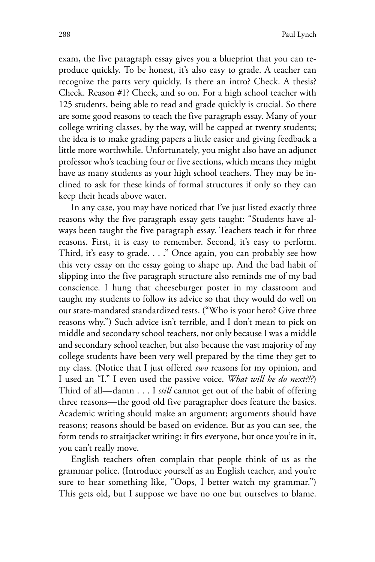exam, the five paragraph essay gives you a blueprint that you can reproduce quickly. To be honest, it's also easy to grade. A teacher can recognize the parts very quickly. Is there an intro? Check. A thesis? Check. Reason #1? Check, and so on. For a high school teacher with 125 students, being able to read and grade quickly is crucial. So there are some good reasons to teach the five paragraph essay. Many of your college writing classes, by the way, will be capped at twenty students; the idea is to make grading papers a little easier and giving feedback a little more worthwhile. Unfortunately, you might also have an adjunct professor who's teaching four or five sections, which means they might have as many students as your high school teachers. They may be inclined to ask for these kinds of formal structures if only so they can keep their heads above water.

In any case, you may have noticed that I've just listed exactly three reasons why the five paragraph essay gets taught: "Students have always been taught the five paragraph essay. Teachers teach it for three reasons. First, it is easy to remember. Second, it's easy to perform. Third, it's easy to grade. . . ." Once again, you can probably see how this very essay on the essay going to shape up. And the bad habit of slipping into the five paragraph structure also reminds me of my bad conscience. I hung that cheeseburger poster in my classroom and taught my students to follow its advice so that they would do well on our state-mandated standardized tests. ("Who is your hero? Give three reasons why.") Such advice isn't terrible, and I don't mean to pick on middle and secondary school teachers, not only because I was a middle and secondary school teacher, but also because the vast majority of my college students have been very well prepared by the time they get to my class. (Notice that I just offered *two* reasons for my opinion, and I used an "I." I even used the passive voice. *What will he do next?!?*) Third of all—damn . . . I *still* cannot get out of the habit of offering three reasons—the good old five paragrapher does feature the basics. Academic writing should make an argument; arguments should have reasons; reasons should be based on evidence. But as you can see, the form tends to straitjacket writing: it fits everyone, but once you're in it, you can't really move.

English teachers often complain that people think of us as the grammar police. (Introduce yourself as an English teacher, and you're sure to hear something like, "Oops, I better watch my grammar.") This gets old, but I suppose we have no one but ourselves to blame.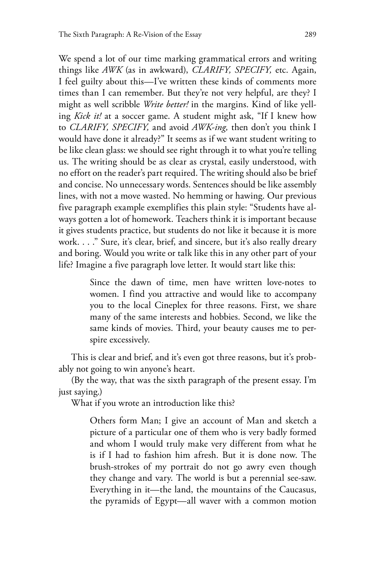We spend a lot of our time marking grammatical errors and writing things like *AWK* (as in awkward), *CLARIFY, SPECIFY,* etc. Again, I feel guilty about this—I've written these kinds of comments more times than I can remember. But they're not very helpful, are they? I might as well scribble *Write better!* in the margins. Kind of like yelling *Kick it!* at a soccer game. A student might ask, "If I knew how to *CLARIFY, SPECIFY,* and avoid *AWK-ing,* then don't you think I would have done it already?" It seems as if we want student writing to be like clean glass: we should see right through it to what you're telling us. The writing should be as clear as crystal, easily understood, with no effort on the reader's part required. The writing should also be brief and concise. No unnecessary words. Sentences should be like assembly lines, with not a move wasted. No hemming or hawing. Our previous five paragraph example exemplifies this plain style: "Students have always gotten a lot of homework. Teachers think it is important because it gives students practice, but students do not like it because it is more work. . . ." Sure, it's clear, brief, and sincere, but it's also really dreary and boring. Would you write or talk like this in any other part of your life? Imagine a five paragraph love letter. It would start like this:

> Since the dawn of time, men have written love-notes to women. I find you attractive and would like to accompany you to the local Cineplex for three reasons. First, we share many of the same interests and hobbies. Second, we like the same kinds of movies. Third, your beauty causes me to perspire excessively.

This is clear and brief, and it's even got three reasons, but it's probably not going to win anyone's heart.

(By the way, that was the sixth paragraph of the present essay. I'm just saying.)

What if you wrote an introduction like this?

Others form Man; I give an account of Man and sketch a picture of a particular one of them who is very badly formed and whom I would truly make very different from what he is if I had to fashion him afresh. But it is done now. The brush-strokes of my portrait do not go awry even though they change and vary. The world is but a perennial see-saw. Everything in it—the land, the mountains of the Caucasus, the pyramids of Egypt—all waver with a common motion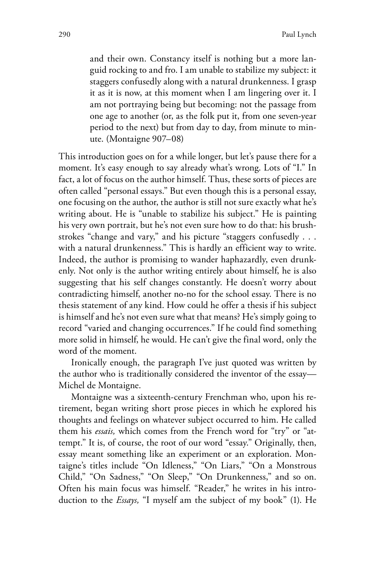and their own. Constancy itself is nothing but a more languid rocking to and fro. I am unable to stabilize my subject: it staggers confusedly along with a natural drunkenness. I grasp it as it is now, at this moment when I am lingering over it. I am not portraying being but becoming: not the passage from one age to another (or, as the folk put it, from one seven-year period to the next) but from day to day, from minute to minute. (Montaigne 907–08)

This introduction goes on for a while longer, but let's pause there for a moment. It's easy enough to say already what's wrong. Lots of "I." In fact, a lot of focus on the author himself. Thus, these sorts of pieces are often called "personal essays." But even though this is a personal essay, one focusing on the author, the author is still not sure exactly what he's writing about. He is "unable to stabilize his subject." He is painting his very own portrait, but he's not even sure how to do that: his brushstrokes "change and vary," and his picture "staggers confusedly . . . with a natural drunkenness." This is hardly an efficient way to write. Indeed, the author is promising to wander haphazardly, even drunkenly. Not only is the author writing entirely about himself, he is also suggesting that his self changes constantly. He doesn't worry about contradicting himself, another no-no for the school essay. There is no thesis statement of any kind. How could he offer a thesis if his subject is himself and he's not even sure what that means? He's simply going to record "varied and changing occurrences." If he could find something more solid in himself, he would. He can't give the final word, only the word of the moment.

Ironically enough, the paragraph I've just quoted was written by the author who is traditionally considered the inventor of the essay— Michel de Montaigne.

Montaigne was a sixteenth-century Frenchman who, upon his retirement, began writing short prose pieces in which he explored his thoughts and feelings on whatever subject occurred to him. He called them his *essais,* which comes from the French word for "try" or "attempt." It is, of course, the root of our word "essay." Originally, then, essay meant something like an experiment or an exploration. Montaigne's titles include "On Idleness," "On Liars," "On a Monstrous Child," "On Sadness," "On Sleep," "On Drunkenness," and so on. Often his main focus was himself. "Reader," he writes in his introduction to the *Essays,* "I myself am the subject of my book" (1). He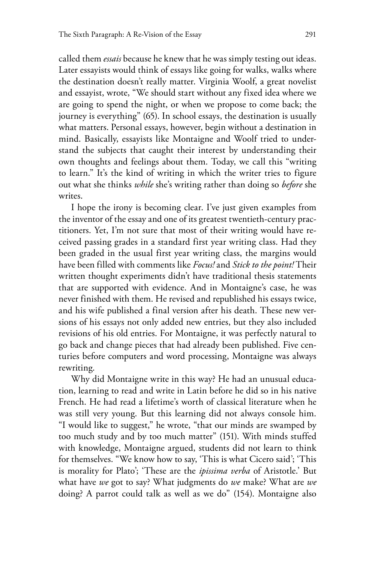called them *essais* because he knew that he was simply testing out ideas. Later essayists would think of essays like going for walks, walks where the destination doesn't really matter. Virginia Woolf, a great novelist and essayist, wrote, "We should start without any fixed idea where we are going to spend the night, or when we propose to come back; the journey is everything" (65). In school essays, the destination is usually what matters. Personal essays, however, begin without a destination in mind. Basically, essayists like Montaigne and Woolf tried to understand the subjects that caught their interest by understanding their own thoughts and feelings about them. Today, we call this "writing to learn." It's the kind of writing in which the writer tries to figure out what she thinks *while* she's writing rather than doing so *before* she writes.

I hope the irony is becoming clear. I've just given examples from the inventor of the essay and one of its greatest twentieth-century practitioners. Yet, I'm not sure that most of their writing would have received passing grades in a standard first year writing class. Had they been graded in the usual first year writing class, the margins would have been filled with comments like *Focus!* and *Stick to the point!* Their written thought experiments didn't have traditional thesis statements that are supported with evidence. And in Montaigne's case, he was never finished with them. He revised and republished his essays twice, and his wife published a final version after his death. These new versions of his essays not only added new entries, but they also included revisions of his old entries. For Montaigne, it was perfectly natural to go back and change pieces that had already been published. Five centuries before computers and word processing, Montaigne was always rewriting.

Why did Montaigne write in this way? He had an unusual education, learning to read and write in Latin before he did so in his native French. He had read a lifetime's worth of classical literature when he was still very young. But this learning did not always console him. "I would like to suggest," he wrote, "that our minds are swamped by too much study and by too much matter" (151). With minds stuffed with knowledge, Montaigne argued, students did not learn to think for themselves. "We know how to say, 'This is what Cicero said'; 'This is morality for Plato'; 'These are the *ipissima verba* of Aristotle.' But what have *we* got to say? What judgments do *we* make? What are *we*  doing? A parrot could talk as well as we do" (154). Montaigne also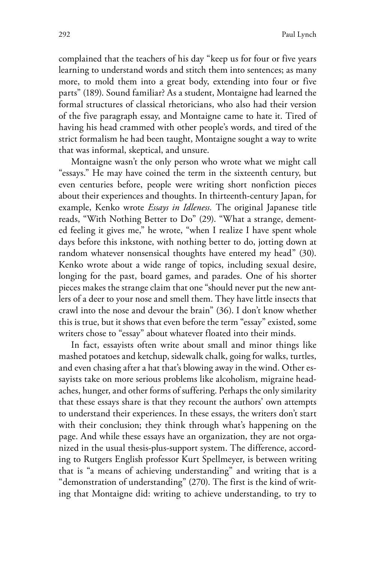complained that the teachers of his day "keep us for four or five years learning to understand words and stitch them into sentences; as many more, to mold them into a great body, extending into four or five parts" (189). Sound familiar? As a student, Montaigne had learned the formal structures of classical rhetoricians, who also had their version of the five paragraph essay, and Montaigne came to hate it. Tired of having his head crammed with other people's words, and tired of the strict formalism he had been taught, Montaigne sought a way to write that was informal, skeptical, and unsure.

Montaigne wasn't the only person who wrote what we might call "essays." He may have coined the term in the sixteenth century, but even centuries before, people were writing short nonfiction pieces about their experiences and thoughts. In thirteenth-century Japan, for example, Kenko wrote *Essays in Idleness.* The original Japanese title reads, "With Nothing Better to Do" (29). "What a strange, demented feeling it gives me," he wrote, "when I realize I have spent whole days before this inkstone, with nothing better to do, jotting down at random whatever nonsensical thoughts have entered my head" (30). Kenko wrote about a wide range of topics, including sexual desire, longing for the past, board games, and parades. One of his shorter pieces makes the strange claim that one "should never put the new antlers of a deer to your nose and smell them. They have little insects that crawl into the nose and devour the brain" (36). I don't know whether this is true, but it shows that even before the term "essay" existed, some writers chose to "essay" about whatever floated into their minds.

In fact, essayists often write about small and minor things like mashed potatoes and ketchup, sidewalk chalk, going for walks, turtles, and even chasing after a hat that's blowing away in the wind. Other essayists take on more serious problems like alcoholism, migraine headaches, hunger, and other forms of suffering. Perhaps the only similarity that these essays share is that they recount the authors' own attempts to understand their experiences. In these essays, the writers don't start with their conclusion; they think through what's happening on the page. And while these essays have an organization, they are not organized in the usual thesis-plus-support system. The difference, according to Rutgers English professor Kurt Spellmeyer, is between writing that is "a means of achieving understanding" and writing that is a "demonstration of understanding" (270). The first is the kind of writing that Montaigne did: writing to achieve understanding, to try to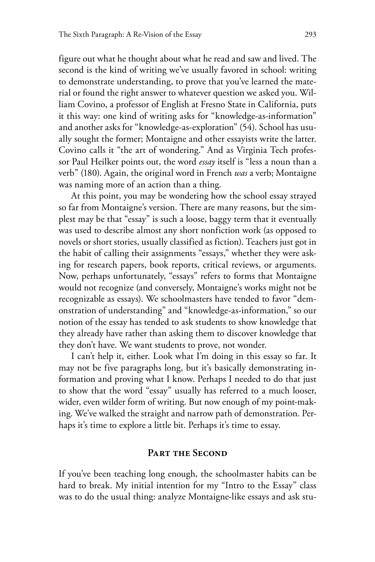figure out what he thought about what he read and saw and lived. The second is the kind of writing we've usually favored in school: writing to demonstrate understanding, to prove that you've learned the material or found the right answer to whatever question we asked you. William Covino, a professor of English at Fresno State in California, puts it this way: one kind of writing asks for "knowledge-as-information" and another asks for "knowledge-as-exploration" (54). School has usually sought the former; Montaigne and other essayists write the latter. Covino calls it "the art of wondering." And as Virginia Tech professor Paul Heilker points out, the word *essay* itself is "less a noun than a verb" (180). Again, the original word in French *was* a verb; Montaigne was naming more of an action than a thing.

At this point, you may be wondering how the school essay strayed so far from Montaigne's version. There are many reasons, but the simplest may be that "essay" is such a loose, baggy term that it eventually was used to describe almost any short nonfiction work (as opposed to novels or short stories, usually classified as fiction). Teachers just got in the habit of calling their assignments "essays," whether they were asking for research papers, book reports, critical reviews, or arguments. Now, perhaps unfortunately, "essays" refers to forms that Montaigne would not recognize (and conversely, Montaigne's works might not be recognizable as essays). We schoolmasters have tended to favor "demonstration of understanding" and "knowledge-as-information," so our notion of the essay has tended to ask students to show knowledge that they already have rather than asking them to discover knowledge that they don't have. We want students to prove, not wonder.

I can't help it, either. Look what I'm doing in this essay so far. It may not be five paragraphs long, but it's basically demonstrating information and proving what I know. Perhaps I needed to do that just to show that the word "essay" usually has referred to a much looser, wider, even wilder form of writing. But now enough of my point-making. We've walked the straight and narrow path of demonstration. Perhaps it's time to explore a little bit. Perhaps it's time to essay.

## **Part the Second**

If you've been teaching long enough, the schoolmaster habits can be hard to break. My initial intention for my "Intro to the Essay" class was to do the usual thing: analyze Montaigne-like essays and ask stu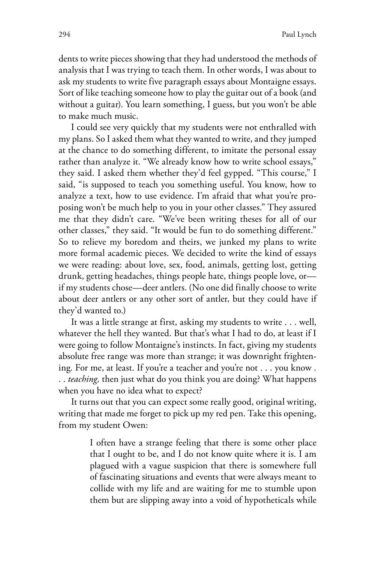dents to write pieces showing that they had understood the methods of analysis that I was trying to teach them. In other words, I was about to ask my students to write five paragraph essays about Montaigne essays. Sort of like teaching someone how to play the guitar out of a book (and without a guitar). You learn something, I guess, but you won't be able to make much music.

I could see very quickly that my students were not enthralled with my plans. So I asked them what they wanted to write, and they jumped at the chance to do something different, to imitate the personal essay rather than analyze it. "We already know how to write school essays," they said. I asked them whether they'd feel gypped. "This course," I said, "is supposed to teach you something useful. You know, how to analyze a text, how to use evidence. I'm afraid that what you're proposing won't be much help to you in your other classes." They assured me that they didn't care. "We've been writing theses for all of our other classes," they said. "It would be fun to do something different." So to relieve my boredom and theirs, we junked my plans to write more formal academic pieces. We decided to write the kind of essays we were reading: about love, sex, food, animals, getting lost, getting drunk, getting headaches, things people hate, things people love, or if my students chose—deer antlers. (No one did finally choose to write about deer antlers or any other sort of antler, but they could have if they'd wanted to.)

It was a little strange at first, asking my students to write . . . well, whatever the hell they wanted. But that's what I had to do, at least if I were going to follow Montaigne's instincts. In fact, giving my students absolute free range was more than strange; it was downright frightening. For me, at least. If you're a teacher and you're not . . . you know . . . *teaching,* then just what do you think you are doing? What happens when you have no idea what to expect?

It turns out that you can expect some really good, original writing, writing that made me forget to pick up my red pen. Take this opening, from my student Owen:

> I often have a strange feeling that there is some other place that I ought to be, and I do not know quite where it is. I am plagued with a vague suspicion that there is somewhere full of fascinating situations and events that were always meant to collide with my life and are waiting for me to stumble upon them but are slipping away into a void of hypotheticals while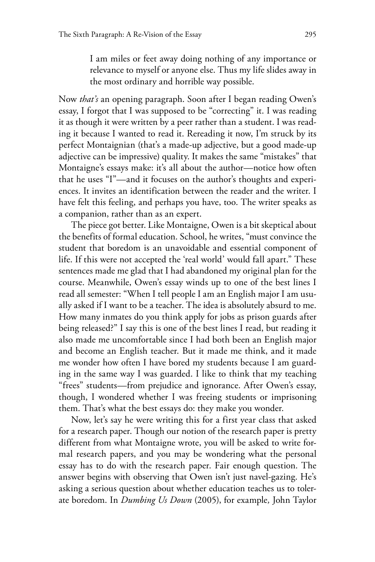I am miles or feet away doing nothing of any importance or relevance to myself or anyone else. Thus my life slides away in the most ordinary and horrible way possible.

Now *that's* an opening paragraph. Soon after I began reading Owen's essay, I forgot that I was supposed to be "correcting" it. I was reading it as though it were written by a peer rather than a student. I was reading it because I wanted to read it. Rereading it now, I'm struck by its perfect Montaignian (that's a made-up adjective, but a good made-up adjective can be impressive) quality. It makes the same "mistakes" that Montaigne's essays make: it's all about the author—notice how often that he uses "I"—and it focuses on the author's thoughts and experiences. It invites an identification between the reader and the writer. I have felt this feeling, and perhaps you have, too. The writer speaks as a companion, rather than as an expert.

The piece got better. Like Montaigne, Owen is a bit skeptical about the benefits of formal education. School, he writes, "must convince the student that boredom is an unavoidable and essential component of life. If this were not accepted the 'real world' would fall apart." These sentences made me glad that I had abandoned my original plan for the course. Meanwhile, Owen's essay winds up to one of the best lines I read all semester: "When I tell people I am an English major I am usually asked if I want to be a teacher. The idea is absolutely absurd to me. How many inmates do you think apply for jobs as prison guards after being released?" I say this is one of the best lines I read, but reading it also made me uncomfortable since I had both been an English major and become an English teacher. But it made me think, and it made me wonder how often I have bored my students because I am guarding in the same way I was guarded. I like to think that my teaching "frees" students—from prejudice and ignorance. After Owen's essay, though, I wondered whether I was freeing students or imprisoning them. That's what the best essays do: they make you wonder.

Now, let's say he were writing this for a first year class that asked for a research paper. Though our notion of the research paper is pretty different from what Montaigne wrote, you will be asked to write formal research papers, and you may be wondering what the personal essay has to do with the research paper. Fair enough question. The answer begins with observing that Owen isn't just navel-gazing. He's asking a serious question about whether education teaches us to tolerate boredom. In *Dumbing Us Down* (2005), for example*,* John Taylor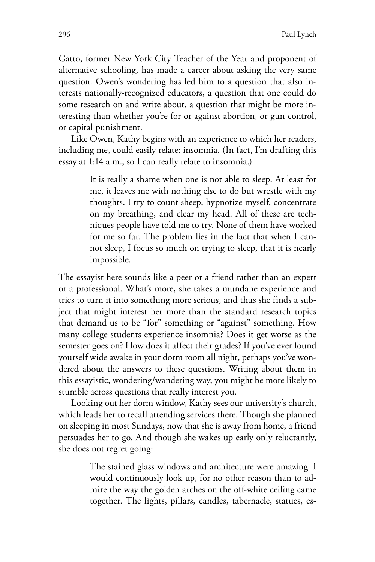Gatto, former New York City Teacher of the Year and proponent of alternative schooling, has made a career about asking the very same question. Owen's wondering has led him to a question that also interests nationally-recognized educators, a question that one could do some research on and write about, a question that might be more interesting than whether you're for or against abortion, or gun control, or capital punishment.

Like Owen, Kathy begins with an experience to which her readers, including me, could easily relate: insomnia. (In fact, I'm drafting this essay at 1:14 a.m., so I can really relate to insomnia.)

> It is really a shame when one is not able to sleep. At least for me, it leaves me with nothing else to do but wrestle with my thoughts. I try to count sheep, hypnotize myself, concentrate on my breathing, and clear my head. All of these are techniques people have told me to try. None of them have worked for me so far. The problem lies in the fact that when I cannot sleep, I focus so much on trying to sleep, that it is nearly impossible.

The essayist here sounds like a peer or a friend rather than an expert or a professional. What's more, she takes a mundane experience and tries to turn it into something more serious, and thus she finds a subject that might interest her more than the standard research topics that demand us to be "for" something or "against" something. How many college students experience insomnia? Does it get worse as the semester goes on? How does it affect their grades? If you've ever found yourself wide awake in your dorm room all night, perhaps you've wondered about the answers to these questions. Writing about them in this essayistic, wondering/wandering way, you might be more likely to stumble across questions that really interest you.

Looking out her dorm window, Kathy sees our university's church, which leads her to recall attending services there. Though she planned on sleeping in most Sundays, now that she is away from home, a friend persuades her to go. And though she wakes up early only reluctantly, she does not regret going:

> The stained glass windows and architecture were amazing. I would continuously look up, for no other reason than to admire the way the golden arches on the off-white ceiling came together. The lights, pillars, candles, tabernacle, statues, es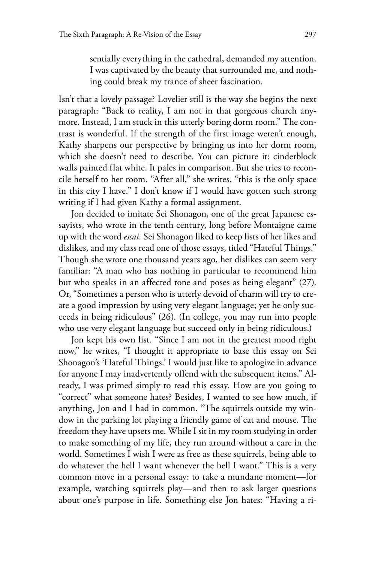sentially everything in the cathedral, demanded my attention. I was captivated by the beauty that surrounded me, and nothing could break my trance of sheer fascination.

Isn't that a lovely passage? Lovelier still is the way she begins the next paragraph: "Back to reality, I am not in that gorgeous church anymore. Instead, I am stuck in this utterly boring dorm room." The contrast is wonderful. If the strength of the first image weren't enough, Kathy sharpens our perspective by bringing us into her dorm room, which she doesn't need to describe. You can picture it: cinderblock walls painted flat white. It pales in comparison. But she tries to reconcile herself to her room. "After all," she writes, "this is the only space in this city I have." I don't know if I would have gotten such strong writing if I had given Kathy a formal assignment.

Jon decided to imitate Sei Shonagon, one of the great Japanese essayists, who wrote in the tenth century, long before Montaigne came up with the word *essai.* Sei Shonagon liked to keep lists of her likes and dislikes, and my class read one of those essays, titled "Hateful Things." Though she wrote one thousand years ago, her dislikes can seem very familiar: "A man who has nothing in particular to recommend him but who speaks in an affected tone and poses as being elegant" (27). Or, "Sometimes a person who is utterly devoid of charm will try to create a good impression by using very elegant language; yet he only succeeds in being ridiculous" (26). (In college, you may run into people who use very elegant language but succeed only in being ridiculous.)

Jon kept his own list. "Since I am not in the greatest mood right now," he writes, "I thought it appropriate to base this essay on Sei Shonagon's 'Hateful Things.' I would just like to apologize in advance for anyone I may inadvertently offend with the subsequent items." Already, I was primed simply to read this essay. How are you going to "correct" what someone hates? Besides, I wanted to see how much, if anything, Jon and I had in common. "The squirrels outside my window in the parking lot playing a friendly game of cat and mouse. The freedom they have upsets me. While I sit in my room studying in order to make something of my life, they run around without a care in the world. Sometimes I wish I were as free as these squirrels, being able to do whatever the hell I want whenever the hell I want." This is a very common move in a personal essay: to take a mundane moment—for example, watching squirrels play—and then to ask larger questions about one's purpose in life. Something else Jon hates: "Having a ri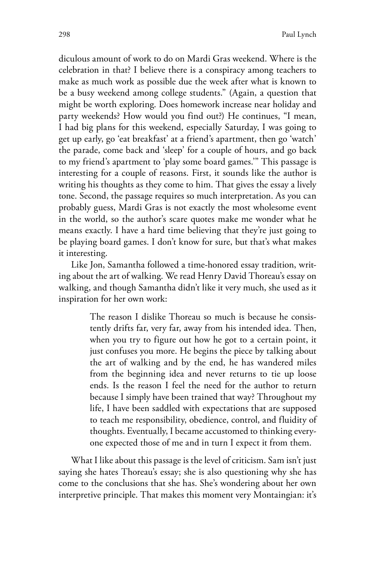diculous amount of work to do on Mardi Gras weekend. Where is the celebration in that? I believe there is a conspiracy among teachers to make as much work as possible due the week after what is known to be a busy weekend among college students." (Again, a question that might be worth exploring. Does homework increase near holiday and party weekends? How would you find out?) He continues, "I mean, I had big plans for this weekend, especially Saturday, I was going to get up early, go 'eat breakfast' at a friend's apartment, then go 'watch' the parade, come back and 'sleep' for a couple of hours, and go back to my friend's apartment to 'play some board games.'" This passage is interesting for a couple of reasons. First, it sounds like the author is writing his thoughts as they come to him. That gives the essay a lively tone. Second, the passage requires so much interpretation. As you can probably guess, Mardi Gras is not exactly the most wholesome event in the world, so the author's scare quotes make me wonder what he means exactly. I have a hard time believing that they're just going to be playing board games. I don't know for sure, but that's what makes it interesting.

Like Jon, Samantha followed a time-honored essay tradition, writing about the art of walking. We read Henry David Thoreau's essay on walking, and though Samantha didn't like it very much, she used as it inspiration for her own work:

> The reason I dislike Thoreau so much is because he consistently drifts far, very far, away from his intended idea. Then, when you try to figure out how he got to a certain point, it just confuses you more. He begins the piece by talking about the art of walking and by the end, he has wandered miles from the beginning idea and never returns to tie up loose ends. Is the reason I feel the need for the author to return because I simply have been trained that way? Throughout my life, I have been saddled with expectations that are supposed to teach me responsibility, obedience, control, and fluidity of thoughts. Eventually, I became accustomed to thinking everyone expected those of me and in turn I expect it from them.

What I like about this passage is the level of criticism. Sam isn't just saying she hates Thoreau's essay; she is also questioning why she has come to the conclusions that she has. She's wondering about her own interpretive principle. That makes this moment very Montaingian: it's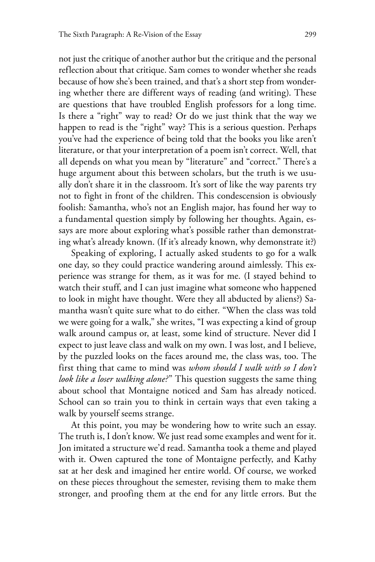not just the critique of another author but the critique and the personal reflection about that critique. Sam comes to wonder whether she reads because of how she's been trained, and that's a short step from wondering whether there are different ways of reading (and writing). These are questions that have troubled English professors for a long time. Is there a "right" way to read? Or do we just think that the way we happen to read is the "right" way? This is a serious question. Perhaps you've had the experience of being told that the books you like aren't literature, or that your interpretation of a poem isn't correct. Well, that all depends on what you mean by "literature" and "correct." There's a huge argument about this between scholars, but the truth is we usually don't share it in the classroom. It's sort of like the way parents try not to fight in front of the children. This condescension is obviously foolish: Samantha, who's not an English major, has found her way to a fundamental question simply by following her thoughts. Again, essays are more about exploring what's possible rather than demonstrating what's already known. (If it's already known, why demonstrate it?)

Speaking of exploring, I actually asked students to go for a walk one day, so they could practice wandering around aimlessly. This experience was strange for them, as it was for me. (I stayed behind to watch their stuff, and I can just imagine what someone who happened to look in might have thought. Were they all abducted by aliens?) Samantha wasn't quite sure what to do either. "When the class was told we were going for a walk," she writes, "I was expecting a kind of group walk around campus or, at least, some kind of structure. Never did I expect to just leave class and walk on my own. I was lost, and I believe, by the puzzled looks on the faces around me, the class was, too. The first thing that came to mind was *whom should I walk with so I don't look like a loser walking alone?*" This question suggests the same thing about school that Montaigne noticed and Sam has already noticed. School can so train you to think in certain ways that even taking a walk by yourself seems strange.

At this point, you may be wondering how to write such an essay. The truth is, I don't know. We just read some examples and went for it. Jon imitated a structure we'd read. Samantha took a theme and played with it. Owen captured the tone of Montaigne perfectly, and Kathy sat at her desk and imagined her entire world. Of course, we worked on these pieces throughout the semester, revising them to make them stronger, and proofing them at the end for any little errors. But the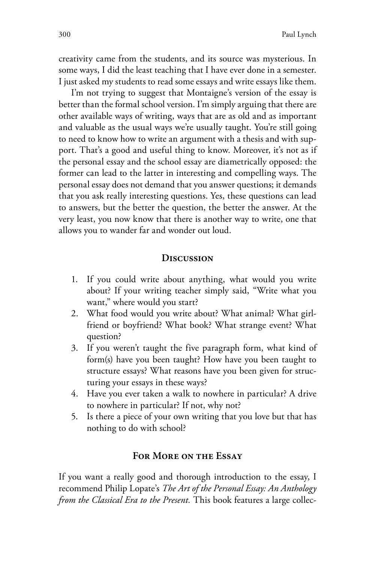creativity came from the students, and its source was mysterious. In some ways, I did the least teaching that I have ever done in a semester. I just asked my students to read some essays and write essays like them.

I'm not trying to suggest that Montaigne's version of the essay is better than the formal school version. I'm simply arguing that there are other available ways of writing, ways that are as old and as important and valuable as the usual ways we're usually taught. You're still going to need to know how to write an argument with a thesis and with support. That's a good and useful thing to know. Moreover, it's not as if the personal essay and the school essay are diametrically opposed: the former can lead to the latter in interesting and compelling ways. The personal essay does not demand that you answer questions; it demands that you ask really interesting questions. Yes, these questions can lead to answers, but the better the question, the better the answer. At the very least, you now know that there is another way to write, one that allows you to wander far and wonder out loud.

### **Discussion**

- 1. If you could write about anything, what would you write about? If your writing teacher simply said, "Write what you want," where would you start?
- 2. What food would you write about? What animal? What girlfriend or boyfriend? What book? What strange event? What question?
- 3. If you weren't taught the five paragraph form, what kind of form(s) have you been taught? How have you been taught to structure essays? What reasons have you been given for structuring your essays in these ways?
- 4. Have you ever taken a walk to nowhere in particular? A drive to nowhere in particular? If not, why not?
- 5. Is there a piece of your own writing that you love but that has nothing to do with school?

## **For More on the Essay**

If you want a really good and thorough introduction to the essay, I recommend Philip Lopate's *The Art of the Personal Essay: An Anthology from the Classical Era to the Present.* This book features a large collec